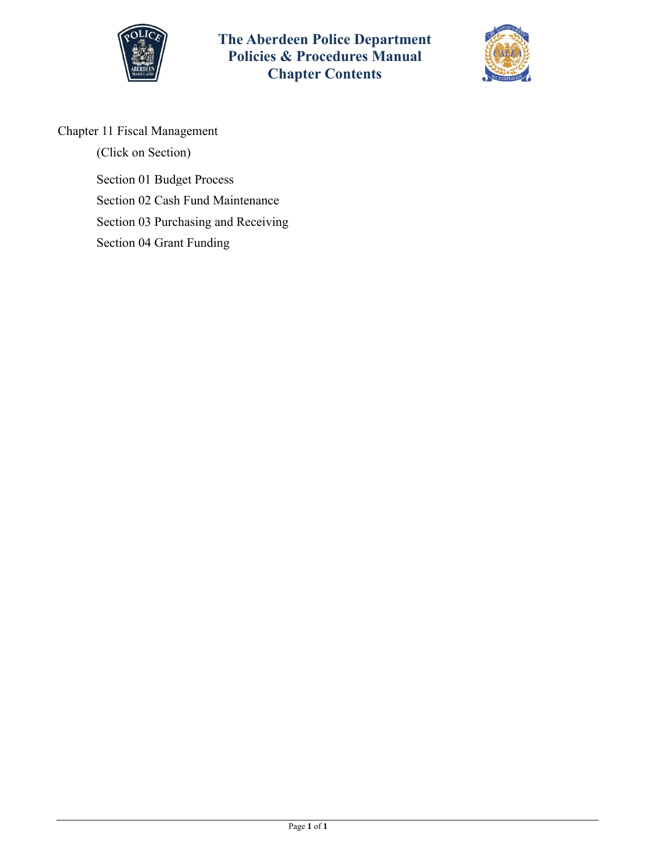



# Chapter 11 Fiscal Management

(Click on Section) [Section 01 Budget Process](#page-1-0) [Section 02 Cash Fund Maintenance](#page-2-0) [Section 03 Purchasing and Receiving](#page-5-0) [Section 04 Grant Funding](#page-7-0)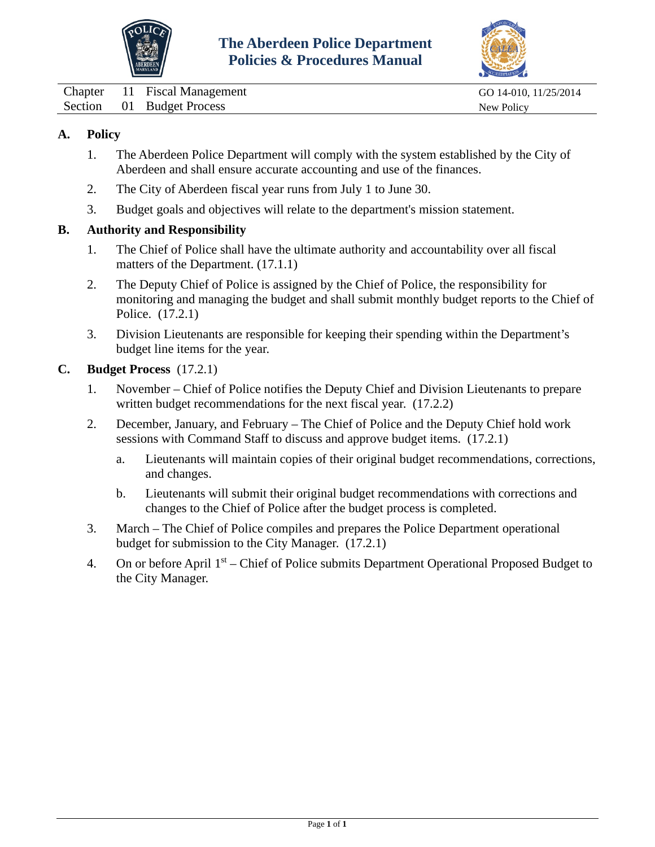



<span id="page-1-0"></span>Chapter 11 Fiscal Management GO 14-010, 11/25/2014 Section 01 Budget Process New Policy

## **A. Policy**

- 1. The Aberdeen Police Department will comply with the system established by the City of Aberdeen and shall ensure accurate accounting and use of the finances.
- 2. The City of Aberdeen fiscal year runs from July 1 to June 30.
- 3. Budget goals and objectives will relate to the department's mission statement.

### **B. Authority and Responsibility**

- 1. The Chief of Police shall have the ultimate authority and accountability over all fiscal matters of the Department. (17.1.1)
- 2. The Deputy Chief of Police is assigned by the Chief of Police, the responsibility for monitoring and managing the budget and shall submit monthly budget reports to the Chief of Police. (17.2.1)
- 3. Division Lieutenants are responsible for keeping their spending within the Department's budget line items for the year.

### **C. Budget Process** (17.2.1)

- 1. November Chief of Police notifies the Deputy Chief and Division Lieutenants to prepare written budget recommendations for the next fiscal year.  $(17.2.2)$
- 2. December, January, and February The Chief of Police and the Deputy Chief hold work sessions with Command Staff to discuss and approve budget items. (17.2.1)
	- a. Lieutenants will maintain copies of their original budget recommendations, corrections, and changes.
	- b. Lieutenants will submit their original budget recommendations with corrections and changes to the Chief of Police after the budget process is completed.
- 3. March The Chief of Police compiles and prepares the Police Department operational budget for submission to the City Manager. (17.2.1)
- 4. On or before April  $1<sup>st</sup>$  Chief of Police submits Department Operational Proposed Budget to the City Manager.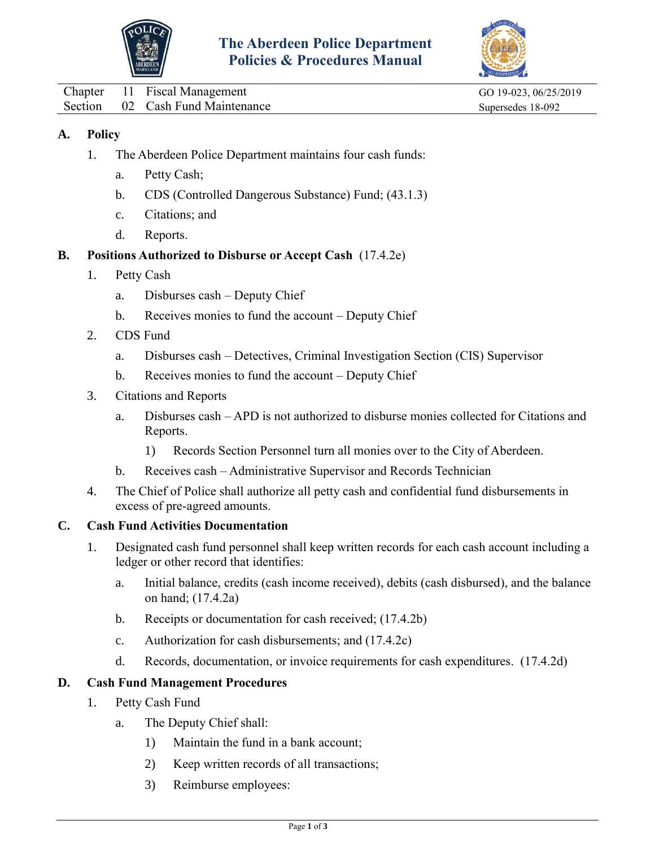



<span id="page-2-0"></span>Chapter 11 Fiscal Management GO 19-023, 06/25/2019 Section 02 Cash Fund Maintenance Supersedes 18-092

## **A. Policy**

- 1. The Aberdeen Police Department maintains four cash funds:
	- a. Petty Cash;
	- b. CDS (Controlled Dangerous Substance) Fund; (43.1.3)
	- c. Citations; and
	- d. Reports.

### **B. Positions Authorized to Disburse or Accept Cash** (17.4.2e)

- 1. Petty Cash
	- a. Disburses cash Deputy Chief
	- b. Receives monies to fund the account Deputy Chief
- 2. CDS Fund
	- a. Disburses cash Detectives, Criminal Investigation Section (CIS) Supervisor
	- b. Receives monies to fund the account Deputy Chief
- 3. Citations and Reports
	- a. Disburses cash APD is not authorized to disburse monies collected for Citations and Reports.
		- 1) Records Section Personnel turn all monies over to the City of Aberdeen.
	- b. Receives cash Administrative Supervisor and Records Technician
- 4. The Chief of Police shall authorize all petty cash and confidential fund disbursements in excess of pre-agreed amounts.

### **C. Cash Fund Activities Documentation**

- 1. Designated cash fund personnel shall keep written records for each cash account including a ledger or other record that identifies:
	- a. Initial balance, credits (cash income received), debits (cash disbursed), and the balance on hand; (17.4.2a)
	- b. Receipts or documentation for cash received; (17.4.2b)
	- c. Authorization for cash disbursements; and (17.4.2c)
	- d. Records, documentation, or invoice requirements for cash expenditures. (17.4.2d)

## **D. Cash Fund Management Procedures**

- 1. Petty Cash Fund
	- a. The Deputy Chief shall:
		- 1) Maintain the fund in a bank account;
		- 2) Keep written records of all transactions;
		- 3) Reimburse employees: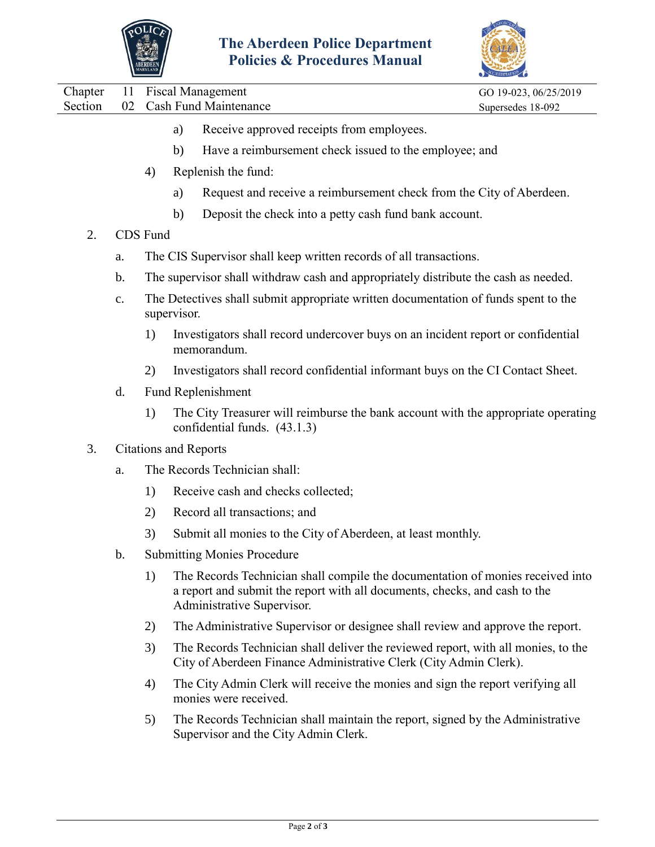



|  | Chapter 11 Fiscal Management     | GO 19-023, 06/25/2019 |
|--|----------------------------------|-----------------------|
|  | Section 02 Cash Fund Maintenance | Supersedes 18-092     |
|  |                                  |                       |

- a) Receive approved receipts from employees.
- b) Have a reimbursement check issued to the employee; and
- 4) Replenish the fund:
	- a) Request and receive a reimbursement check from the City of Aberdeen.
	- b) Deposit the check into a petty cash fund bank account.
- 2. CDS Fund
	- a. The CIS Supervisor shall keep written records of all transactions.
	- b. The supervisor shall withdraw cash and appropriately distribute the cash as needed.
	- c. The Detectives shall submit appropriate written documentation of funds spent to the supervisor.
		- 1) Investigators shall record undercover buys on an incident report or confidential memorandum.
		- 2) Investigators shall record confidential informant buys on the CI Contact Sheet.
	- d. Fund Replenishment
		- 1) The City Treasurer will reimburse the bank account with the appropriate operating confidential funds. (43.1.3)
- 3. Citations and Reports
	- a. The Records Technician shall:
		- 1) Receive cash and checks collected;
		- 2) Record all transactions; and
		- 3) Submit all monies to the City of Aberdeen, at least monthly.
	- b. Submitting Monies Procedure
		- 1) The Records Technician shall compile the documentation of monies received into a report and submit the report with all documents, checks, and cash to the Administrative Supervisor.
		- 2) The Administrative Supervisor or designee shall review and approve the report.
		- 3) The Records Technician shall deliver the reviewed report, with all monies, to the City of Aberdeen Finance Administrative Clerk (City Admin Clerk).
		- 4) The City Admin Clerk will receive the monies and sign the report verifying all monies were received.
		- 5) The Records Technician shall maintain the report, signed by the Administrative Supervisor and the City Admin Clerk.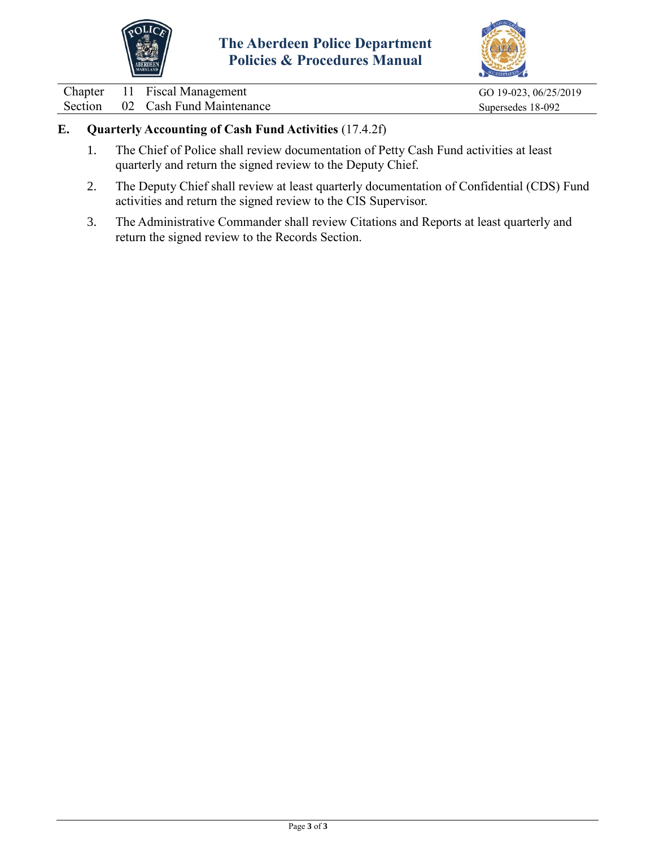



Chapter 11 Fiscal Management GO 19-023, 06/25/2019<br>Section 02 Cash Fund Maintenance Supersedes 18-092 02 Cash Fund Maintenance Supersedes 18-092

## **E. Quarterly Accounting of Cash Fund Activities** (17.4.2f)

- 1. The Chief of Police shall review documentation of Petty Cash Fund activities at least quarterly and return the signed review to the Deputy Chief.
- 2. The Deputy Chief shall review at least quarterly documentation of Confidential (CDS) Fund activities and return the signed review to the CIS Supervisor.
- 3. The Administrative Commander shall review Citations and Reports at least quarterly and return the signed review to the Records Section.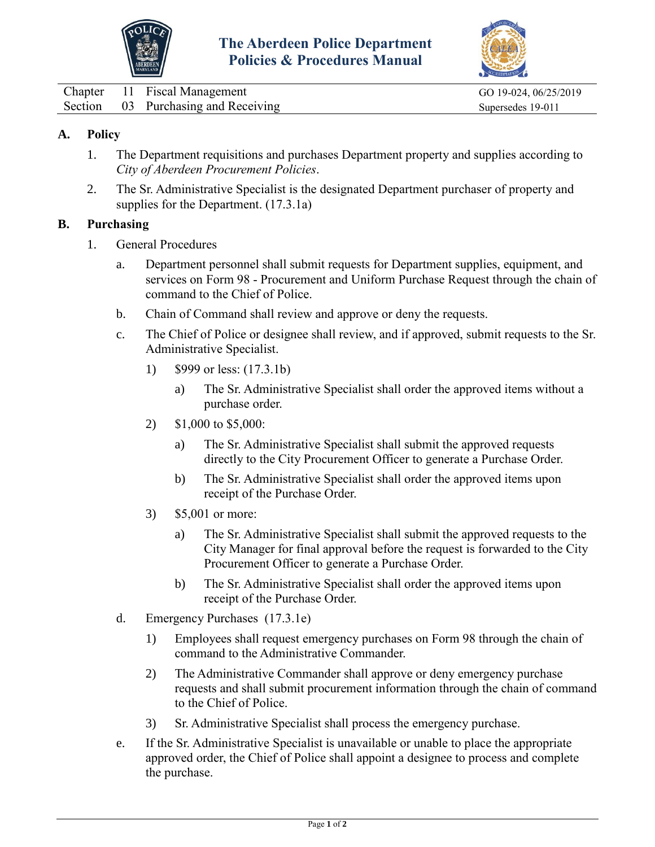



<span id="page-5-0"></span>

|  | Chapter 11 Fiscal Management        | GO 19-024, 06/25/2019 |
|--|-------------------------------------|-----------------------|
|  | Section 03 Purchasing and Receiving | Supersedes 19-011     |

## **A. Policy**

- 1. The Department requisitions and purchases Department property and supplies according to *City of Aberdeen Procurement Policies*.
- 2. The Sr. Administrative Specialist is the designated Department purchaser of property and supplies for the Department. (17.3.1a)

### **B. Purchasing**

- 1. General Procedures
	- a. Department personnel shall submit requests for Department supplies, equipment, and services on Form 98 - Procurement and Uniform Purchase Request through the chain of command to the Chief of Police.
	- b. Chain of Command shall review and approve or deny the requests.
	- c. The Chief of Police or designee shall review, and if approved, submit requests to the Sr. Administrative Specialist.
		- 1) \$999 or less: (17.3.1b)
			- a) The Sr. Administrative Specialist shall order the approved items without a purchase order.
		- 2) \$1,000 to \$5,000:
			- a) The Sr. Administrative Specialist shall submit the approved requests directly to the City Procurement Officer to generate a Purchase Order.
			- b) The Sr. Administrative Specialist shall order the approved items upon receipt of the Purchase Order.
		- 3) \$5,001 or more:
			- a) The Sr. Administrative Specialist shall submit the approved requests to the City Manager for final approval before the request is forwarded to the City Procurement Officer to generate a Purchase Order.
			- b) The Sr. Administrative Specialist shall order the approved items upon receipt of the Purchase Order.
	- d. Emergency Purchases (17.3.1e)
		- 1) Employees shall request emergency purchases on Form 98 through the chain of command to the Administrative Commander.
		- 2) The Administrative Commander shall approve or deny emergency purchase requests and shall submit procurement information through the chain of command to the Chief of Police.
		- 3) Sr. Administrative Specialist shall process the emergency purchase.
	- e. If the Sr. Administrative Specialist is unavailable or unable to place the appropriate approved order, the Chief of Police shall appoint a designee to process and complete the purchase.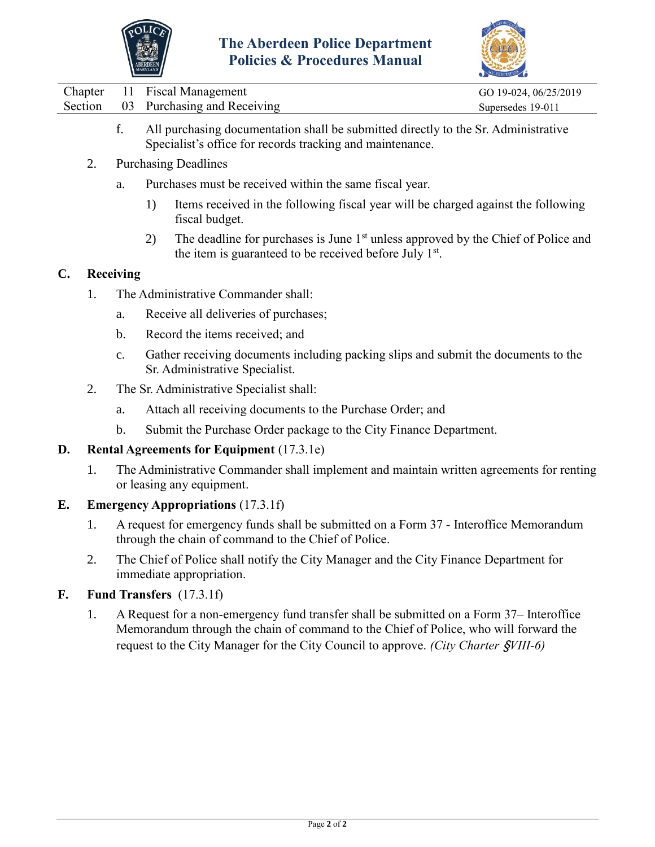



|  | Chapter 11 Fiscal Management        | GO 19-024, 06/25/2019 |
|--|-------------------------------------|-----------------------|
|  | Section 03 Purchasing and Receiving | Supersedes 19-011     |
|  |                                     |                       |

- f. All purchasing documentation shall be submitted directly to the Sr. Administrative Specialist's office for records tracking and maintenance.
- 2. Purchasing Deadlines
	- a. Purchases must be received within the same fiscal year.
		- 1) Items received in the following fiscal year will be charged against the following fiscal budget.
		- 2) The deadline for purchases is June  $1<sup>st</sup>$  unless approved by the Chief of Police and the item is guaranteed to be received before July  $1<sup>st</sup>$ .

### **C. Receiving**

- 1. The Administrative Commander shall:
	- a. Receive all deliveries of purchases;
	- b. Record the items received; and
	- c. Gather receiving documents including packing slips and submit the documents to the Sr. Administrative Specialist.
- 2. The Sr. Administrative Specialist shall:
	- a. Attach all receiving documents to the Purchase Order; and
	- b. Submit the Purchase Order package to the City Finance Department.

### **D. Rental Agreements for Equipment** (17.3.1e)

1. The Administrative Commander shall implement and maintain written agreements for renting or leasing any equipment.

### **E. Emergency Appropriations** (17.3.1f)

- 1. A request for emergency funds shall be submitted on a Form 37 Interoffice Memorandum through the chain of command to the Chief of Police.
- 2. The Chief of Police shall notify the City Manager and the City Finance Department for immediate appropriation.

## **F. Fund Transfers** (17.3.1f)

1. A Request for a non-emergency fund transfer shall be submitted on a Form 37– Interoffice Memorandum through the chain of command to the Chief of Police, who will forward the request to the City Manager for the City Council to approve. *(City Charter* §*VIII-6)*